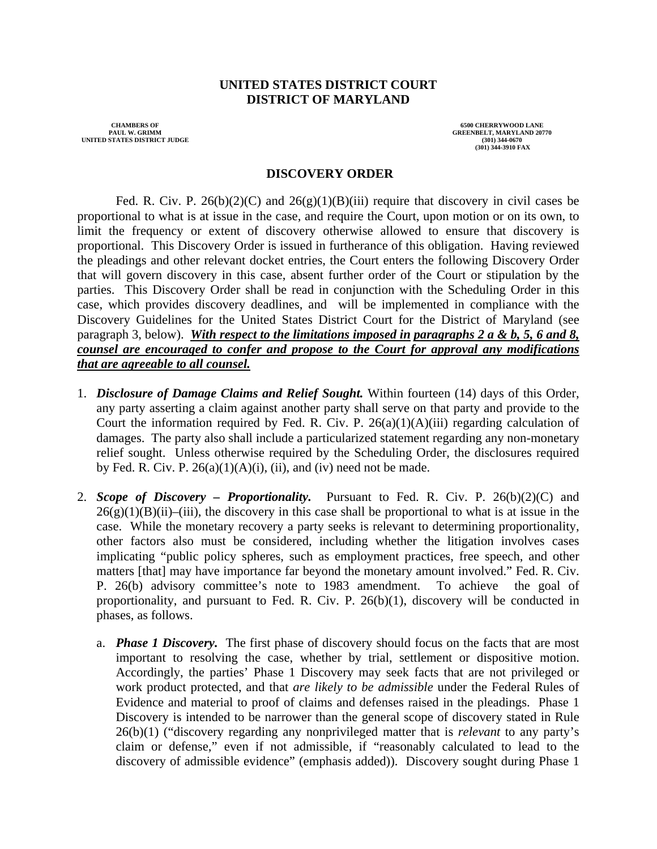### **UNITED STATES DISTRICT COURT DISTRICT OF MARYLAND**

 **PAUL W. GRIMM GREENBELT, MARYLAND 20770 UNITED STATES DISTRICT JUDGE (301) 344-0670** 

**CHAMBERS OF 6500 CHERRYWOOD LANE 6500 CHERRYWOOD LANE 6500 CHERRYWOOD LANE 6500 CHERRYWOOD LANE (301) 344-3910 FAX**

#### **DISCOVERY ORDER**

Fed. R. Civ. P. 26(b)(2)(C) and 26(g)(1)(B)(iii) require that discovery in civil cases be proportional to what is at issue in the case, and require the Court, upon motion or on its own, to limit the frequency or extent of discovery otherwise allowed to ensure that discovery is proportional. This Discovery Order is issued in furtherance of this obligation. Having reviewed the pleadings and other relevant docket entries, the Court enters the following Discovery Order that will govern discovery in this case, absent further order of the Court or stipulation by the parties. This Discovery Order shall be read in conjunction with the Scheduling Order in this case, which provides discovery deadlines, and will be implemented in compliance with the Discovery Guidelines for the United States District Court for the District of Maryland (see paragraph 3, below). *With respect to the limitations imposed in paragraphs 2 a & b, 5, 6 and 8, counsel are encouraged to confer and propose to the Court for approval any modifications that are agreeable to all counsel.*

- 1. *Disclosure of Damage Claims and Relief Sought.* Within fourteen (14) days of this Order, any party asserting a claim against another party shall serve on that party and provide to the Court the information required by Fed. R. Civ. P.  $26(a)(1)(A)(iii)$  regarding calculation of damages. The party also shall include a particularized statement regarding any non-monetary relief sought. Unless otherwise required by the Scheduling Order, the disclosures required by Fed. R. Civ. P.  $26(a)(1)(A)(i)$ , (ii), and (iv) need not be made.
- 2. *Scope of Discovery Proportionality.* Pursuant to Fed. R. Civ. P. 26(b)(2)(C) and  $26(g)(1)(B)(ii)$ –(iii), the discovery in this case shall be proportional to what is at issue in the case. While the monetary recovery a party seeks is relevant to determining proportionality, other factors also must be considered, including whether the litigation involves cases implicating "public policy spheres, such as employment practices, free speech, and other matters [that] may have importance far beyond the monetary amount involved." Fed. R. Civ. P. 26(b) advisory committee's note to 1983 amendment. To achieve the goal of proportionality, and pursuant to Fed. R. Civ. P. 26(b)(1), discovery will be conducted in phases, as follows.
	- a. *Phase 1 Discovery.* The first phase of discovery should focus on the facts that are most important to resolving the case, whether by trial, settlement or dispositive motion. Accordingly, the parties' Phase 1 Discovery may seek facts that are not privileged or work product protected, and that *are likely to be admissible* under the Federal Rules of Evidence and material to proof of claims and defenses raised in the pleadings. Phase 1 Discovery is intended to be narrower than the general scope of discovery stated in Rule 26(b)(1) ("discovery regarding any nonprivileged matter that is *relevant* to any party's claim or defense," even if not admissible, if "reasonably calculated to lead to the discovery of admissible evidence" (emphasis added)). Discovery sought during Phase 1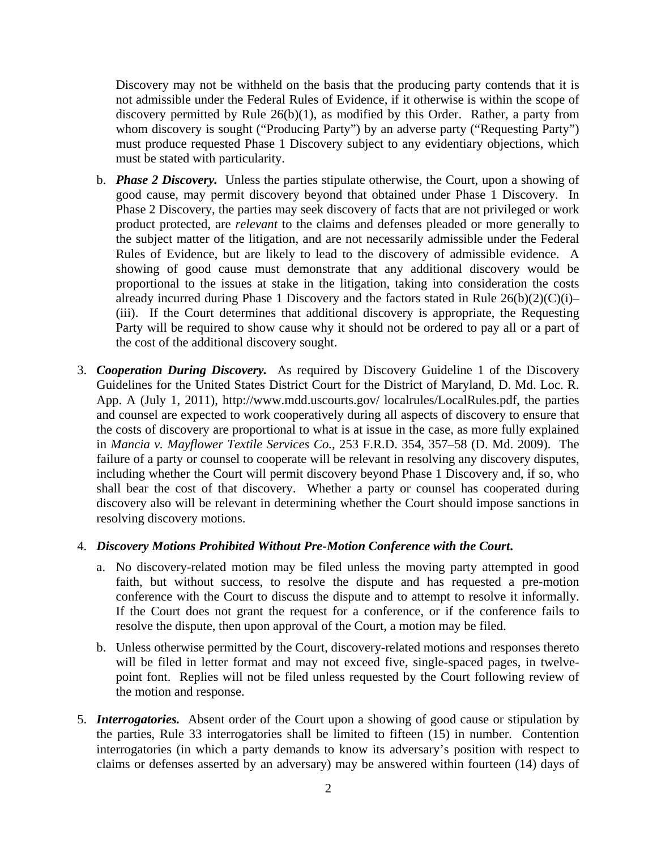Discovery may not be withheld on the basis that the producing party contends that it is not admissible under the Federal Rules of Evidence, if it otherwise is within the scope of discovery permitted by Rule 26(b)(1), as modified by this Order. Rather, a party from whom discovery is sought ("Producing Party") by an adverse party ("Requesting Party") must produce requested Phase 1 Discovery subject to any evidentiary objections, which must be stated with particularity.

- b. *Phase 2 Discovery.* Unless the parties stipulate otherwise, the Court, upon a showing of good cause, may permit discovery beyond that obtained under Phase 1 Discovery. In Phase 2 Discovery, the parties may seek discovery of facts that are not privileged or work product protected, are *relevant* to the claims and defenses pleaded or more generally to the subject matter of the litigation, and are not necessarily admissible under the Federal Rules of Evidence, but are likely to lead to the discovery of admissible evidence. A showing of good cause must demonstrate that any additional discovery would be proportional to the issues at stake in the litigation, taking into consideration the costs already incurred during Phase 1 Discovery and the factors stated in Rule  $26(b)(2)(C)(i)$ – (iii). If the Court determines that additional discovery is appropriate, the Requesting Party will be required to show cause why it should not be ordered to pay all or a part of the cost of the additional discovery sought.
- 3. *Cooperation During Discovery.* As required by Discovery Guideline 1 of the Discovery Guidelines for the United States District Court for the District of Maryland, D. Md. Loc. R. App. A (July 1, 2011), http://www.mdd.uscourts.gov/ localrules/LocalRules.pdf, the parties and counsel are expected to work cooperatively during all aspects of discovery to ensure that the costs of discovery are proportional to what is at issue in the case, as more fully explained in *Mancia v. Mayflower Textile Services Co.*, 253 F.R.D. 354, 357–58 (D. Md. 2009). The failure of a party or counsel to cooperate will be relevant in resolving any discovery disputes, including whether the Court will permit discovery beyond Phase 1 Discovery and, if so, who shall bear the cost of that discovery. Whether a party or counsel has cooperated during discovery also will be relevant in determining whether the Court should impose sanctions in resolving discovery motions.

### 4. *Discovery Motions Prohibited Without Pre-Motion Conference with the Court***.**

- a. No discovery-related motion may be filed unless the moving party attempted in good faith, but without success, to resolve the dispute and has requested a pre-motion conference with the Court to discuss the dispute and to attempt to resolve it informally. If the Court does not grant the request for a conference, or if the conference fails to resolve the dispute, then upon approval of the Court, a motion may be filed.
- b. Unless otherwise permitted by the Court, discovery-related motions and responses thereto will be filed in letter format and may not exceed five, single-spaced pages, in twelvepoint font. Replies will not be filed unless requested by the Court following review of the motion and response.
- 5. *Interrogatories.* Absent order of the Court upon a showing of good cause or stipulation by the parties, Rule 33 interrogatories shall be limited to fifteen (15) in number. Contention interrogatories (in which a party demands to know its adversary's position with respect to claims or defenses asserted by an adversary) may be answered within fourteen (14) days of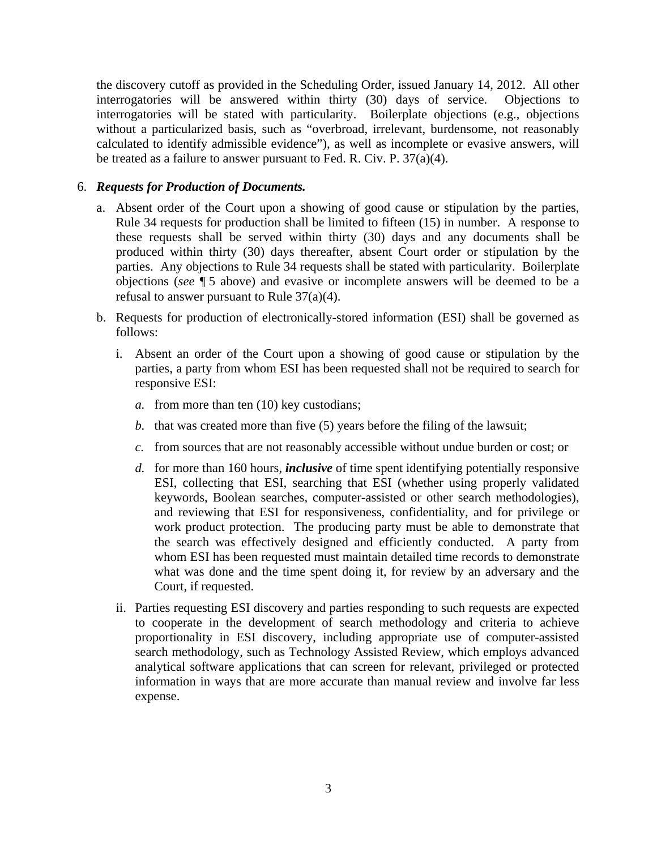the discovery cutoff as provided in the Scheduling Order, issued January 14, 2012. All other interrogatories will be answered within thirty (30) days of service. Objections to interrogatories will be stated with particularity. Boilerplate objections (e.g., objections without a particularized basis, such as "overbroad, irrelevant, burdensome, not reasonably calculated to identify admissible evidence"), as well as incomplete or evasive answers, will be treated as a failure to answer pursuant to Fed. R. Civ. P.  $37(a)(4)$ .

# 6. *Requests for Production of Documents.*

- a. Absent order of the Court upon a showing of good cause or stipulation by the parties, Rule 34 requests for production shall be limited to fifteen (15) in number. A response to these requests shall be served within thirty (30) days and any documents shall be produced within thirty (30) days thereafter, absent Court order or stipulation by the parties. Any objections to Rule 34 requests shall be stated with particularity. Boilerplate objections (*see* ¶ 5 above) and evasive or incomplete answers will be deemed to be a refusal to answer pursuant to Rule 37(a)(4).
- b. Requests for production of electronically-stored information (ESI) shall be governed as follows:
	- i. Absent an order of the Court upon a showing of good cause or stipulation by the parties, a party from whom ESI has been requested shall not be required to search for responsive ESI:
		- *a.* from more than ten (10) key custodians;
		- *b.* that was created more than five (5) years before the filing of the lawsuit;
		- *c.* from sources that are not reasonably accessible without undue burden or cost; or
		- *d.* for more than 160 hours, *inclusive* of time spent identifying potentially responsive ESI, collecting that ESI, searching that ESI (whether using properly validated keywords, Boolean searches, computer-assisted or other search methodologies), and reviewing that ESI for responsiveness, confidentiality, and for privilege or work product protection. The producing party must be able to demonstrate that the search was effectively designed and efficiently conducted. A party from whom ESI has been requested must maintain detailed time records to demonstrate what was done and the time spent doing it, for review by an adversary and the Court, if requested.
	- ii. Parties requesting ESI discovery and parties responding to such requests are expected to cooperate in the development of search methodology and criteria to achieve proportionality in ESI discovery, including appropriate use of computer-assisted search methodology, such as Technology Assisted Review, which employs advanced analytical software applications that can screen for relevant, privileged or protected information in ways that are more accurate than manual review and involve far less expense.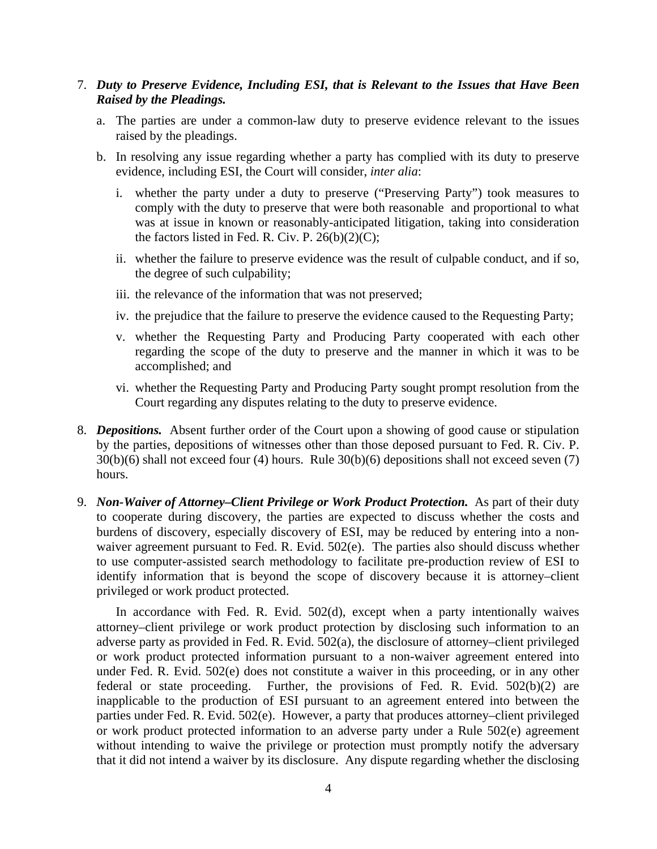## 7. *Duty to Preserve Evidence, Including ESI, that is Relevant to the Issues that Have Been Raised by the Pleadings.*

- a. The parties are under a common-law duty to preserve evidence relevant to the issues raised by the pleadings.
- b. In resolving any issue regarding whether a party has complied with its duty to preserve evidence, including ESI, the Court will consider, *inter alia*:
	- i. whether the party under a duty to preserve ("Preserving Party") took measures to comply with the duty to preserve that were both reasonable and proportional to what was at issue in known or reasonably-anticipated litigation, taking into consideration the factors listed in Fed. R. Civ. P.  $26(b)(2)(C)$ ;
	- ii. whether the failure to preserve evidence was the result of culpable conduct, and if so, the degree of such culpability;
	- iii. the relevance of the information that was not preserved;
	- iv. the prejudice that the failure to preserve the evidence caused to the Requesting Party;
	- v. whether the Requesting Party and Producing Party cooperated with each other regarding the scope of the duty to preserve and the manner in which it was to be accomplished; and
	- vi. whether the Requesting Party and Producing Party sought prompt resolution from the Court regarding any disputes relating to the duty to preserve evidence.
- 8. *Depositions.* Absent further order of the Court upon a showing of good cause or stipulation by the parties, depositions of witnesses other than those deposed pursuant to Fed. R. Civ. P. 30(b)(6) shall not exceed four (4) hours. Rule 30(b)(6) depositions shall not exceed seven (7) hours.
- 9. *Non-Waiver of Attorney–Client Privilege or Work Product Protection.* As part of their duty to cooperate during discovery, the parties are expected to discuss whether the costs and burdens of discovery, especially discovery of ESI, may be reduced by entering into a nonwaiver agreement pursuant to Fed. R. Evid. 502(e). The parties also should discuss whether to use computer-assisted search methodology to facilitate pre-production review of ESI to identify information that is beyond the scope of discovery because it is attorney–client privileged or work product protected.

In accordance with Fed. R. Evid. 502(d), except when a party intentionally waives attorney–client privilege or work product protection by disclosing such information to an adverse party as provided in Fed. R. Evid. 502(a), the disclosure of attorney–client privileged or work product protected information pursuant to a non-waiver agreement entered into under Fed. R. Evid. 502(e) does not constitute a waiver in this proceeding, or in any other federal or state proceeding. Further, the provisions of Fed. R. Evid. 502(b)(2) are inapplicable to the production of ESI pursuant to an agreement entered into between the parties under Fed. R. Evid. 502(e). However, a party that produces attorney–client privileged or work product protected information to an adverse party under a Rule 502(e) agreement without intending to waive the privilege or protection must promptly notify the adversary that it did not intend a waiver by its disclosure. Any dispute regarding whether the disclosing